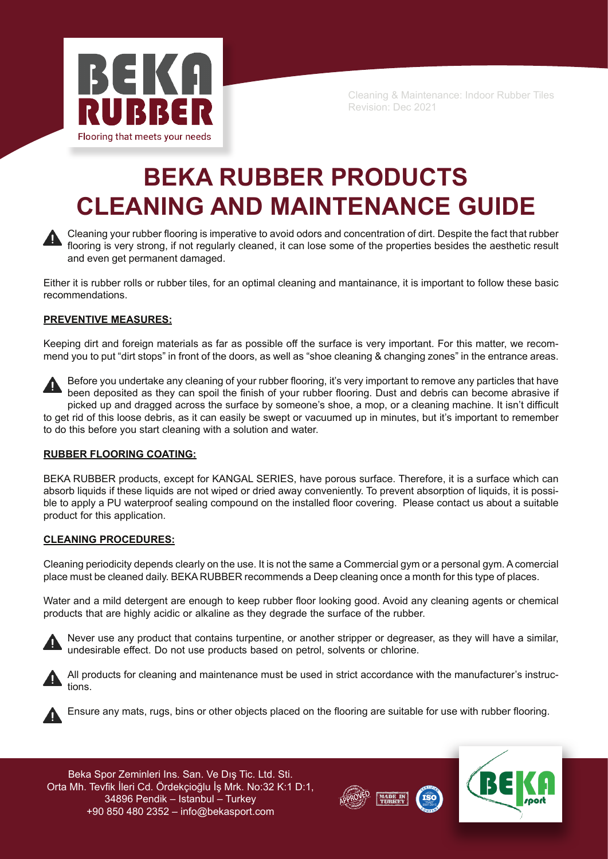

# **BEKA RUBBER PRODUCTS CLEANING AND MAINTENANCE GUIDE**



Cleaning your rubber flooring is imperative to avoid odors and concentration of dirt. Despite the fact that rubber flooring is very strong, if not regularly cleaned, it can lose some of the properties besides the aesthetic result and even get permanent damaged.

Either it is rubber rolls or rubber tiles, for an optimal cleaning and mantainance, it is important to follow these basic recommendations.

# **PREVENTIVE MEASURES:**

Keeping dirt and foreign materials as far as possible off the surface is very important. For this matter, we recommend you to put "dirt stops" in front of the doors, as well as "shoe cleaning & changing zones" in the entrance areas.



Before you undertake any cleaning of your rubber flooring, it's very important to remove any particles that have been deposited as they can spoil the finish of your rubber flooring. Dust and debris can become abrasive if picked up and dragged across the surface by someone's shoe, a mop, or a cleaning machine. It isn't difficult

to get rid of this loose debris, as it can easily be swept or vacuumed up in minutes, but it's important to remember to do this before you start cleaning with a solution and water.

# **RUBBER FLOORING COATING:**

BEKA RUBBER products, except for KANGAL SERIES, have porous surface. Therefore, it is a surface which can absorb liquids if these liquids are not wiped or dried away conveniently. To prevent absorption of liquids, it is possible to apply a PU waterproof sealing compound on the installed floor covering. Please contact us about a suitable product for this application.

## **CLEANING PROCEDURES:**

Cleaning periodicity depends clearly on the use. It is not the same a Commercial gym or a personal gym. A comercial place must be cleaned daily. BEKA RUBBER recommends a Deep cleaning once a month for this type of places.

Water and a mild detergent are enough to keep rubber floor looking good. Avoid any cleaning agents or chemical products that are highly acidic or alkaline as they degrade the surface of the rubber.



Never use any product that contains turpentine, or another stripper or degreaser, as they will have a similar, undesirable effect. Do not use products based on petrol, solvents or chlorine.



All products for cleaning and maintenance must be used in strict accordance with the manufacturer's instructions.



Ensure any mats, rugs, bins or other objects placed on the flooring are suitable for use with rubber flooring.

Beka Spor Zeminleri Ins. San. Ve Dış Tic. Ltd. Sti. Orta Mh. Tevfik İleri Cd. Ördekçioğlu İş Mrk. No:32 K:1 D:1, 34896 Pendik – Istanbul – Turkey +90 850 480 2352 – info@bekasport.com